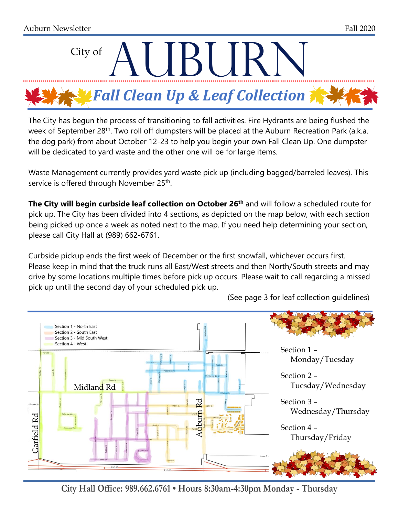

The City has begun the process of transitioning to fall activities. Fire Hydrants are being flushed the week of September 28<sup>th</sup>. Two roll off dumpsters will be placed at the Auburn Recreation Park (a.k.a. the dog park) from about October 12-23 to help you begin your own Fall Clean Up. One dumpster will be dedicated to yard waste and the other one will be for large items.

Waste Management currently provides yard waste pick up (including bagged/barreled leaves). This service is offered through November 25<sup>th</sup>.

**The City will begin curbside leaf collection on October 26th** and will follow a scheduled route for pick up. The City has been divided into 4 sections, as depicted on the map below, with each section being picked up once a week as noted next to the map. If you need help determining your section, please call City Hall at (989) 662-6761.

Curbside pickup ends the first week of December or the first snowfall, whichever occurs first. Please keep in mind that the truck runs all East/West streets and then North/South streets and may drive by some locations multiple times before pick up occurs. Please wait to call regarding a missed pick up until the second day of your scheduled pick up.



(See page 3 for leaf collection guidelines)

**City Hall Office: 989.662.6761 • Hours 8:30am-4:30pm Monday - Thursday**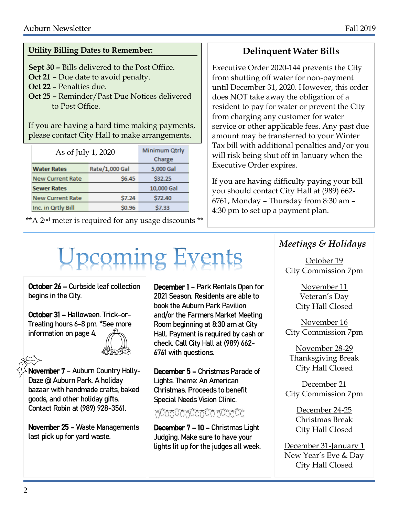#### **Utility Billing Dates to Remember:**

**Sept 30 –** Bills delivered to the Post Office.

**Oct 21** – Due date to avoid penalty.

- **Oct 22 –** Penalties due.
- **Oct 25 –** Reminder/Past Due Notices delivered to Post Office.

If you are having a hard time making payments, please contact City Hall to make arrangements.

| As of July 1, 2020      | Minimum Qtrly<br>Charge |            |  |  |  |  |
|-------------------------|-------------------------|------------|--|--|--|--|
| <b>Water Rates</b>      | Rate/1,000 Gal          | 5,000 Gal  |  |  |  |  |
| <b>New Current Rate</b> | <b>\$6.45</b>           | \$32.25    |  |  |  |  |
| <b>Sewer Rates</b>      |                         | 10,000 Gal |  |  |  |  |
| <b>New Current Rate</b> | <b>\$7.24</b>           | S72.40     |  |  |  |  |
| Inc. in Qrtly Bill      | \$0.96                  | \$7.33     |  |  |  |  |

\*\*A 2nd meter is required for any usage discounts \*\*

#### **Delinquent Water Bills**

Executive Order 2020-144 prevents the City from shutting off water for non-payment until December 31, 2020. However, this order does NOT take away the obligation of a resident to pay for water or prevent the City from charging any customer for water service or other applicable fees. Any past due amount may be transferred to your Winter Tax bill with additional penalties and/or you will risk being shut off in January when the Executive Order expires.

If you are having difficulty paying your bill you should contact City Hall at (989) 662- 6761, Monday – Thursday from 8:30 am – 4:30 pm to set up a payment plan.

# **Upcoming Events**

October 26 – Curbside leaf collection begins in the City.

October 31 – Halloween. Trick-or-Treating hours 6-8 pm. \*See more information on page 4.

November 7 – Auburn Country Holly-Daze @ Auburn Park. A holiday bazaar with handmade crafts, baked goods, and other holiday gifts. Contact Robin at (989) 928-3561.

November 25 – Waste Managements last pick up for yard waste.

December 1 – Park Rentals Open for 2021 Season. Residents are able to book the Auburn Park Pavilion and/or the Farmers Market Meeting Room beginning at 8:30 am at City Hall. Payment is required by cash or check. Call City Hall at (989) 662- 6761 with questions.

December 5 – Christmas Parade of Lights. Theme: An American Christmas. Proceeds to benefit Special Needs Vision Clinic.

#### 600600660060060000

December 7 – 10 – Christmas Light Judging. Make sure to have your lights lit up for the judges all week.

#### *Meetings & Holidays*

October 19 City Commission 7pm

> November 11 Veteran's Day City Hall Closed

November 16 City Commission 7pm

November 28-29 Thanksgiving Break City Hall Closed

December 21 City Commission 7pm

> December 24-25 Christmas Break City Hall Closed

December 31-January 1 New Year's Eve & Day City Hall Closed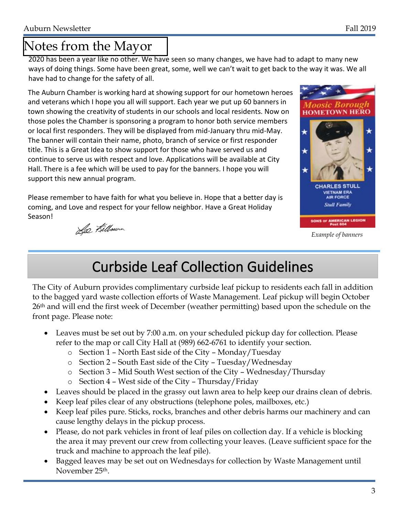## Notes from the Mayor

2020 has been a year like no other. We have seen so many changes, we have had to adapt to many new ways of doing things. Some have been great, some, well we can't wait to get back to the way it was. We all have had to change for the safety of all.

The Auburn Chamber is working hard at showing support for our hometown heroes and veterans which I hope you all will support. Each year we put up 60 banners in town showing the creativity of students in our schools and local residents. Now on those poles the Chamber is sponsoring a program to honor both service members or local first responders. They will be displayed from mid-January thru mid-May. The banner will contain their name, photo, branch of service or first responder title. This is a Great Idea to show support for those who have served us and continue to serve us with respect and love. Applications will be available at City Hall. There is a fee which will be used to pay for the banners. I hope you will support this new annual program.

Please remember to have faith for what you believe in. Hope that a better day is coming, and Love and respect for your fellow neighbor. Have a Great Holiday Season!

**HOMETOWN HERO CHARLES STULI VIETNAM ERA AIR FORCE Stull Family** SONS OF AMERICAN LEGION

*Example of banners*

Le Kilbourn

## Curbside Leaf Collection Guidelines

The City of Auburn provides complimentary curbside leaf pickup to residents each fall in addition to the bagged yard waste collection efforts of Waste Management. Leaf pickup will begin October 26th and will end the first week of December (weather permitting) based upon the schedule on the front page. Please note:

- Leaves must be set out by 7:00 a.m. on your scheduled pickup day for collection. Please refer to the map or call City Hall at (989) 662-6761 to identify your section.
	- o Section 1 North East side of the City Monday/Tuesday
	- o Section 2 South East side of the City Tuesday/Wednesday
	- o Section 3 Mid South West section of the City Wednesday/Thursday
	- o Section 4 West side of the City Thursday/Friday
- Leaves should be placed in the grassy out lawn area to help keep our drains clean of debris.
- Keep leaf piles clear of any obstructions (telephone poles, mailboxes, etc.)
- Keep leaf piles pure. Sticks, rocks, branches and other debris harms our machinery and can cause lengthy delays in the pickup process.
- Please, do not park vehicles in front of leaf piles on collection day. If a vehicle is blocking the area it may prevent our crew from collecting your leaves. (Leave sufficient space for the truck and machine to approach the leaf pile).
- Bagged leaves may be set out on Wednesdays for collection by Waste Management until November 25th.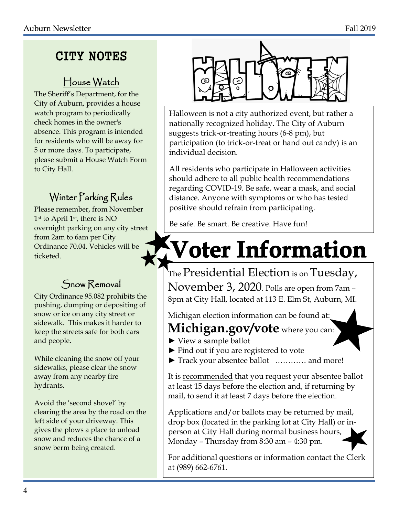## CITY NOTES

### House Watch

The Sheriff's Department, for the City of Auburn, provides a house watch program to periodically check homes in the owner's absence. This program is intended for residents who will be away for 5 or more days. To participate, please submit a House Watch Form to City Hall.

## Winter Parking Rules

Please remember, from November 1st to April 1st, there is NO overnight parking on any city street from 2am to 6am per City Ordinance 70.04. Vehicles will be ticketed.

#### Snow Removal

City Ordinance 95.082 prohibits the pushing, dumping or depositing of snow or ice on any city street or sidewalk. This makes it harder to keep the streets safe for both cars and people.

While cleaning the snow off your sidewalks, please clear the snow away from any nearby fire hydrants.

Avoid the 'second shovel' by clearing the area by the road on the left side of your driveway. This gives the plows a place to unload snow and reduces the chance of a snow berm being created.



Halloween is not a city authorized event, but rather a nationally recognized holiday. The City of Auburn suggests trick-or-treating hours (6-8 pm), but participation (to trick-or-treat or hand out candy) is an individual decision.

All residents who participate in Halloween activities should adhere to all public health recommendations regarding COVID-19. Be safe, wear a mask, and social distance. Anyone with symptoms or who has tested positive should refrain from participating.

Be safe. Be smart. Be creative. Have fun!

## **Voter Information**

The Presidential Election is on Tuesday, November 3, 2020. Polls are open from 7am – 8pm at City Hall, located at 113 E. Elm St, Auburn, MI.

Michigan election information can be found at:

## **Michigan.gov/vote** where you can:

- ► View a sample ballot
- ► Find out if you are registered to vote
- ► Track your absentee ballot ………… and more!

It is recommended that you request your absentee ballot at least 15 days before the election and, if returning by mail, to send it at least 7 days before the election.

Applications and/or ballots may be returned by mail, drop box (located in the parking lot at City Hall) or inperson at City Hall during normal business hours, Monday – Thursday from 8:30 am – 4:30 pm.

For additional questions or information contact the Clerk at (989) 662-6761.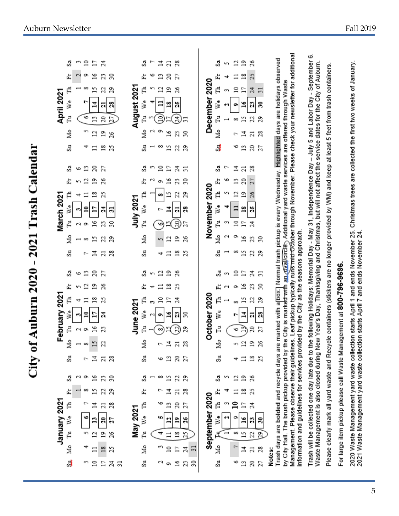|                        | April 2021    | ್ಲಿ<br>卢<br>Ľ<br>We<br>F,<br>Йo<br>S,         | m                                             | $\Xi$<br>∞<br>v<br>n<br>₹   | Ξ<br>21<br>10<br>격<br>2<br>$\Xi$<br>$\Xi$                       | 乌<br>30<br>g<br>29<br>g<br>Å<br>Ч<br>20<br>27<br>₽<br>26<br>$\frac{8}{16}$<br>2,       |                | August 2021      | ಚಿ<br>闰<br>Ę<br>š<br>Ę,<br>å<br>å      | ×,<br>$\mathbf{\hat{c}}$<br>ī | 궄<br>₽<br>2<br>$\approx$<br>ō<br>8 | 28<br>21<br>20<br>E,<br>$\frac{9}{1}$<br>Άб<br>å<br>28<br>ಸ<br>2<br>ఇ<br>2<br>Z            | Z<br>2                                                |                      | December 2020  | చ<br>岀<br>Ę<br>š<br>£,<br>Ńо<br>ి       | т<br>m                   | 12<br>$\Xi$<br>60<br>৩                     | $\mathbf{r}$<br>$\frac{8}{16}$<br>E<br>≌<br>51<br>콬<br>$\Xi$ | δŘ<br>Z,<br>$\mathbb{Z}$<br>51<br>P,<br>z<br>22<br>29<br>ష<br>ដ<br>20<br>Zī                                                     |        |                                                                                                                                                                                                                                                                                                                                                                                                                                                                                                                                                          |                                                                                                                                                                                                                                                                                                      |                                                                                                     |                                              | Christmas trees are collected the first two weeks of January.                                                                                                       |
|------------------------|---------------|-----------------------------------------------|-----------------------------------------------|-----------------------------|-----------------------------------------------------------------|----------------------------------------------------------------------------------------|----------------|------------------|----------------------------------------|-------------------------------|------------------------------------|--------------------------------------------------------------------------------------------|-------------------------------------------------------|----------------------|----------------|-----------------------------------------|--------------------------|--------------------------------------------|--------------------------------------------------------------|---------------------------------------------------------------------------------------------------------------------------------|--------|----------------------------------------------------------------------------------------------------------------------------------------------------------------------------------------------------------------------------------------------------------------------------------------------------------------------------------------------------------------------------------------------------------------------------------------------------------------------------------------------------------------------------------------------------------|------------------------------------------------------------------------------------------------------------------------------------------------------------------------------------------------------------------------------------------------------------------------------------------------------|-----------------------------------------------------------------------------------------------------|----------------------------------------------|---------------------------------------------------------------------------------------------------------------------------------------------------------------------|
| Trash Calendaı<br>2021 | March 2021    | S,<br>闰<br>Ę<br>i∛<br>Ĥ<br>Žю<br>S.           | G<br>т<br>빡<br>C)                             | 53<br>2<br>≘<br>ō<br>œ<br>۳ | 20<br>$\overline{1}$<br>$\frac{8}{1}$<br>F<br>91<br>15<br>궄     | E,<br>26<br>Α<br>봌<br>5<br>S)<br>Z<br>29<br>Ν<br>28<br>$\overline{a}$                  |                | <b>July 2021</b> | å<br>闰<br>Ę<br>Š<br>Fu<br>Σç<br>S.     | m<br>a                        | $\Xi$<br>o,<br>œ<br>۴<br>4         | 24<br>Ξ<br>26<br>g<br>g<br>ন<br>20<br>$\mathbf{r}$<br>≌<br>$\frac{8}{16}$<br>Ξ             | 51<br>S<br>29<br>Å<br>Å<br>2Ś                         |                      | November 2020  | S<br>岀<br>Ę<br>š<br>F1<br>Йo<br>å       | ب<br>ç<br>m<br>G         | 콬<br>Ξ<br>12<br>$\approx$<br>ᡡ<br>∞        | 21<br>20<br>$\tilde{a}$<br>28<br>Ξ<br>26<br>51               | $\mathbb{Z}^3$<br>21<br>26<br>ě,<br>$\mathbb{R}^4$<br>Z<br>Z<br>Ω<br>29                                                         |        |                                                                                                                                                                                                                                                                                                                                                                                                                                                                                                                                                          |                                                                                                                                                                                                                                                                                                      | e containers (stickers are no longer provided by WM) and keep at least 5 feet from trash containers |                                              |                                                                                                                                                                     |
| Auburn 2020<br>City of | February 2021 | S,<br>岀<br>Ę<br>Φ<br>š<br>Fu<br>å<br>S.<br>S, | G<br>т<br>寸<br>C)<br>$\overline{\phantom{0}}$ | ≌<br>2<br>≘<br>o,<br>8<br>o | 20<br>$\mathbf{r}$<br>$\frac{8}{1}$<br>E<br>91<br>51<br>궄<br>21 | S,<br>26<br>Α<br>겱<br>23<br>Z<br>$\overline{a}$<br>28<br>S<br>g                        |                | <b>June 2021</b> | S<br>岀<br>ħ<br>Š<br>Fu<br>å<br>Su<br>S | m                             | 2<br>$\Xi$<br>œ<br>۳<br>۰<br>69    | $\mathbf{r}$<br>δŘ<br>23<br>S<br>5<br>S,<br>R)<br>그<br>$\overline{a}$<br>5<br>g<br>15<br>g | Z<br>29<br>$\boldsymbol{\mathcal{Z}}$<br>Z7<br>29     |                      | October 2020   | S<br>岀<br>Ę<br>i∛<br>F,<br>å<br>S.<br>S | m                        | $\Xi$<br>o۱<br>œ<br>r<br>v<br>S.<br>+<br>2 | E<br>51<br>51<br>겈<br>5J<br>읍<br>Ξ<br>$\mathbf{r}$           | 24<br>$\overline{5}$<br>g<br>30<br>Z<br>29<br>£,<br>Ч<br>20<br>27<br>$\mathbf{r}$<br>26<br>$\frac{8}{16}$<br>$\mathbf{z}$<br>26 |        | Management. Please observe their guidelines. Leaf pickup typically runs mid-October through November. Please check your newsletter for additional<br>Trash days are bolded and recycle days are marked with a[box.] Normal trash pickup is every Wednesday. Highlighted days are holidays observed<br>by City Hall. The brush pickup provided by the City is marke <del>d with</del> an overal pickets, Additional yard waste services are offered through Waste<br>information and guidelines for services provided by the City as the seasons approach | Trash will be collected one day late due to the following Holidays: Memorial Day - May 31, Independence Day - July 5 and Labor Day - September 6<br>Waste Management is also closed during New Year's Day, Thanksgiving and Christmas, but will not affect the service dates for the City of Auburn. |                                                                                                     | gement at 800-796-9696.                      | 2020 Waste Management yard waste collection starts April 1 and ends November 25.<br>2021 Waste Management yard waste collection starts April 7 and ends November 24 |
|                        | January 2021  | 岀<br>Ę<br>ž<br>Fu<br>Mo<br>్యే                |                                               | 69<br>n<br>67               | 15<br>그<br>$\overline{a}$<br>$\Xi$<br>$\approx$                 | Z<br>29<br>28<br>$\overline{a}$<br>R<br>Д<br>의<br>26<br>$\overline{18}$<br>S<br>E<br>Å | $\overline{5}$ | May 2021         | 闰<br>Ę<br>š<br>ŗ,<br>Мo<br>Su          |                               | φ<br>ю<br>4<br>69<br>C)            | 콬<br>21<br>5<br>g<br>2<br>ដ<br>$\frac{8}{16}$<br>$\Xi$<br>$\cong$<br>Ξ<br>5<br>ō           | $\mathbb{Z}^3$<br>2T<br>92<br>R<br>24<br>$\mathbb{Z}$ | $\overline{51}$<br>S | September 2020 | 岀<br>Ę<br>i∛<br>₹<br>₫<br>Su            | $\overline{\phantom{a}}$ | $\Xi$<br>$\mathbf{a}$<br>a<br>6<br>Ļ,<br>৩ | $\frac{8}{16}$<br>E<br>51<br>51<br>궄<br>Ľ                    | S<br>잡<br>Z<br>S,<br>22<br>28<br>$\overline{a}$<br>$\approx$<br>27                                                              | Notes: |                                                                                                                                                                                                                                                                                                                                                                                                                                                                                                                                                          |                                                                                                                                                                                                                                                                                                      | Please clearly mark all yard waste and Recycl                                                       | For large item pickup please call Waste Mana |                                                                                                                                                                     |